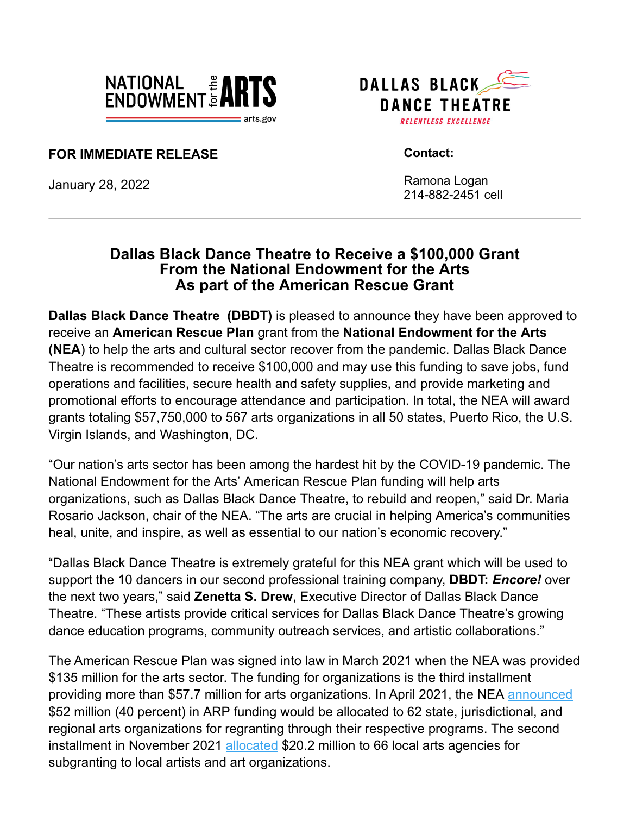

DALLAS BLACK **DANCE THEATRE RELENTLESS EXCELLENCE** 

**FOR IMMEDIATE RELEASE**

January 28, 2022

 **Contact:**

 Ramona Logan 214-882-2451 cell

## **Dallas Black Dance Theatre to Receive a \$100,000 Grant From the National Endowment for the Arts As part of the American Rescue Grant**

**Dallas Black Dance Theatre (DBDT)** is pleased to announce they have been approved to receive an **American Rescue Plan** grant from the **National Endowment for the Arts (NEA**) to help the arts and cultural sector recover from the pandemic. Dallas Black Dance Theatre is recommended to receive \$100,000 and may use this funding to save jobs, fund operations and facilities, secure health and safety supplies, and provide marketing and promotional efforts to encourage attendance and participation. In total, the NEA will award grants totaling \$57,750,000 to 567 arts organizations in all 50 states, Puerto Rico, the U.S. Virgin Islands, and Washington, DC.

"Our nation's arts sector has been among the hardest hit by the COVID-19 pandemic. The National Endowment for the Arts' American Rescue Plan funding will help arts organizations, such as Dallas Black Dance Theatre, to rebuild and reopen," said Dr. Maria Rosario Jackson, chair of the NEA. "The arts are crucial in helping America's communities heal, unite, and inspire, as well as essential to our nation's economic recovery."

"Dallas Black Dance Theatre is extremely grateful for this NEA grant which will be used to support the 10 dancers in our second professional training company, **DBDT:** *Encore!* over the next two years," said **Zenetta S. Drew**, Executive Director of Dallas Black Dance Theatre. "These artists provide critical services for Dallas Black Dance Theatre's growing dance education programs, community outreach services, and artistic collaborations."

The American Rescue Plan was signed into law in March 2021 when the NEA was provided \$135 million for the arts sector. The funding for organizations is the third installment providing more than \$57.7 million for arts organizations. In April 2021, the NEA [announced](https://www.arts.gov/about/news/2021/first-phase-american-rescue-plan-funding-national-endowment-arts-announced) \$52 million (40 percent) in ARP funding would be allocated to 62 state, jurisdictional, and regional arts organizations for regranting through their respective programs. The second installment in November 2021 [allocated](https://www.arts.gov/about/news/2021/american-rescue-plan-grants-local-arts-agencies) \$20.2 million to 66 local arts agencies for subgranting to local artists and art organizations.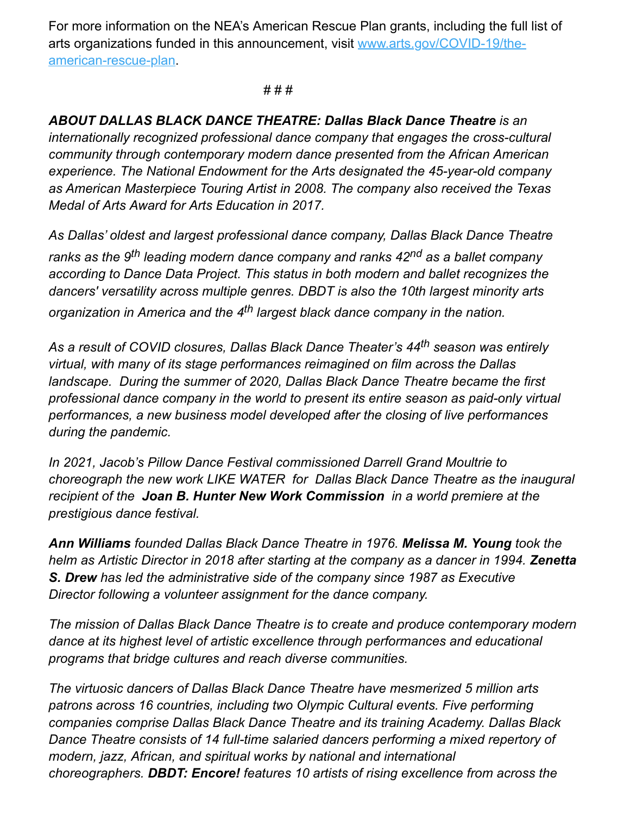For more information on the NEA's American Rescue Plan grants, including the full list of [arts organizations funded in this announcement, visit www.arts.gov/COVID-19/the](https://www.arts.gov/COVID-19/the-american-rescue-plan)american-rescue-plan.

## # # #

*ABOUT DALLAS BLACK DANCE THEATRE: Dallas Black Dance Theatre is an internationally recognized professional dance company that engages the cross-cultural community through contemporary modern dance presented from the African American experience. The National Endowment for the Arts designated the 45-year-old company as American Masterpiece Touring Artist in 2008. The company also received the Texas Medal of Arts Award for Arts Education in 2017.* 

*As Dallas' oldest and largest professional dance company, Dallas Black Dance Theatre ranks as the 9th leading modern dance company and ranks 42nd as a ballet company according to Dance Data Project. This status in both modern and ballet recognizes the dancers' versatility across multiple genres. DBDT is also the 10th largest minority arts organization in America and the 4th largest black dance company in the nation.*

*As a result of COVID closures, Dallas Black Dance Theater's 44th season was entirely virtual, with many of its stage performances reimagined on film across the Dallas landscape. During the summer of 2020, Dallas Black Dance Theatre became the first professional dance company in the world to present its entire season as paid-only virtual performances, a new business model developed after the closing of live performances during the pandemic.*

*In 2021, Jacob's Pillow Dance Festival commissioned Darrell Grand Moultrie to choreograph the new work LIKE WATER for Dallas Black Dance Theatre as the inaugural recipient of the Joan B. Hunter New Work Commission in a world premiere at the prestigious dance festival.*

*Ann Williams founded Dallas Black Dance Theatre in 1976. Melissa M. Young took the helm as Artistic Director in 2018 after starting at the company as a dancer in 1994. Zenetta S. Drew has led the administrative side of the company since 1987 as Executive Director following a volunteer assignment for the dance company.*

*The mission of Dallas Black Dance Theatre is to create and produce contemporary modern dance at its highest level of artistic excellence through performances and educational programs that bridge cultures and reach diverse communities.*

*The virtuosic dancers of Dallas Black Dance Theatre have mesmerized 5 million arts patrons across 16 countries, including two Olympic Cultural events. Five performing companies comprise Dallas Black Dance Theatre and its training Academy. Dallas Black Dance Theatre consists of 14 full-time salaried dancers performing a mixed repertory of modern, jazz, African, and spiritual works by national and international choreographers. DBDT: Encore! features 10 artists of rising excellence from across the*